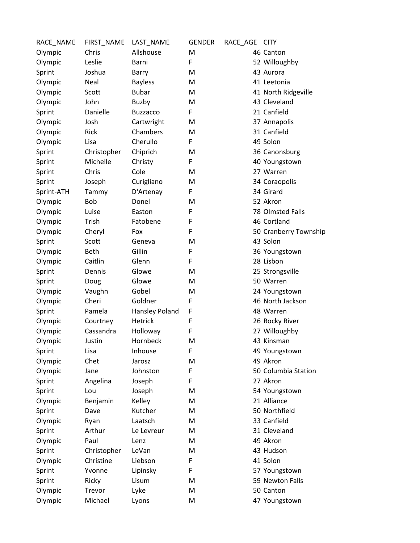| RACE_NAME  | FIRST_NAME  | LAST_NAME             | <b>GENDER</b> | RACE_AGE | <b>CITY</b>           |
|------------|-------------|-----------------------|---------------|----------|-----------------------|
| Olympic    | Chris       | Allshouse             | M             |          | 46 Canton             |
| Olympic    | Leslie      | Barni                 | F             |          | 52 Willoughby         |
| Sprint     | Joshua      | Barry                 | M             |          | 43 Aurora             |
| Olympic    | Neal        | <b>Bayless</b>        | M             |          | 41 Leetonia           |
| Olympic    | Scott       | <b>Bubar</b>          | M             |          | 41 North Ridgeville   |
| Olympic    | John        | <b>Buzby</b>          | M             |          | 43 Cleveland          |
| Sprint     | Danielle    | <b>Buzzacco</b>       | F             |          | 21 Canfield           |
| Olympic    | Josh        | Cartwright            | M             |          | 37 Annapolis          |
| Olympic    | Rick        | Chambers              | M             |          | 31 Canfield           |
| Olympic    | Lisa        | Cherullo              | F             |          | 49 Solon              |
| Sprint     | Christopher | Chiprich              | M             |          | 36 Canonsburg         |
| Sprint     | Michelle    | Christy               | F             |          | 40 Youngstown         |
| Sprint     | Chris       | Cole                  | M             |          | 27 Warren             |
| Sprint     | Joseph      | Curigliano            | M             |          | 34 Coraopolis         |
| Sprint-ATH | Tammy       | D'Artenay             | F             |          | 34 Girard             |
| Olympic    | Bob         | Donel                 | M             |          | 52 Akron              |
| Olympic    | Luise       | Easton                | F             |          | 78 Olmsted Falls      |
| Olympic    | Trish       | Fatobene              | F             |          | 46 Cortland           |
| Olympic    | Cheryl      | Fox                   | F             |          | 50 Cranberry Township |
| Sprint     | Scott       | Geneva                | M             |          | 43 Solon              |
| Olympic    | Beth        | Gillin                | F             |          | 36 Youngstown         |
| Olympic    | Caitlin     | Glenn                 | F             |          | 28 Lisbon             |
| Sprint     | Dennis      | Glowe                 | M             |          | 25 Strongsville       |
| Sprint     | Doug        | Glowe                 | M             |          | 50 Warren             |
| Olympic    | Vaughn      | Gobel                 | M             |          | 24 Youngstown         |
| Olympic    | Cheri       | Goldner               | F             |          | 46 North Jackson      |
| Sprint     | Pamela      | <b>Hansley Poland</b> | F             |          | 48 Warren             |
| Olympic    | Courtney    | <b>Hetrick</b>        | F             |          | 26 Rocky River        |
| Olympic    | Cassandra   | Holloway              | F             |          | 27 Willoughby         |
| Olympic    | Justin      | Hornbeck              | M             |          | 43 Kinsman            |
| Sprint     | Lisa        | Inhouse               | F             |          | 49 Youngstown         |
| Olympic    | Chet        | Jarosz                | M             |          | 49 Akron              |
| Olympic    | Jane        | Johnston              | F             |          | 50 Columbia Station   |
| Sprint     | Angelina    | Joseph                | F             |          | 27 Akron              |
| Sprint     | Lou         | Joseph                | M             |          | 54 Youngstown         |
| Olympic    | Benjamin    | Kelley                | M             |          | 21 Alliance           |
| Sprint     | Dave        | Kutcher               | M             |          | 50 Northfield         |
| Olympic    | Ryan        | Laatsch               | M             |          | 33 Canfield           |
| Sprint     | Arthur      | Le Levreur            | M             |          | 31 Cleveland          |
| Olympic    | Paul        | Lenz                  | M             |          | 49 Akron              |
| Sprint     | Christopher | LeVan                 | M             |          | 43 Hudson             |
| Olympic    | Christine   | Liebson               | F             |          | 41 Solon              |
| Sprint     | Yvonne      | Lipinsky              | F             |          | 57 Youngstown         |
| Sprint     | Ricky       | Lisum                 | M             |          | 59 Newton Falls       |
| Olympic    | Trevor      | Lyke                  | M             |          | 50 Canton             |
| Olympic    | Michael     | Lyons                 | M             |          | 47 Youngstown         |
|            |             |                       |               |          |                       |

| ACE AGE CITY |                    |
|--------------|--------------------|
|              | 46 Canton          |
|              | 52 Willoughby      |
|              | 43 Aurora          |
|              | 41 Leetonia        |
|              | 41 North Ridgev    |
|              | 43 Cleveland       |
|              | 21 Canfield        |
|              | 37 Annapolis       |
|              | 31 Canfield        |
|              | 49 Solon           |
|              | 36 Canonsburg      |
|              | 40 Youngstown      |
|              | 27 Warren          |
|              | 34 Coraopolis      |
|              | 34 Girard          |
|              | 52 Akron           |
|              | 78 Olmsted Fall    |
|              | 46 Cortland        |
|              | 50 Cranberry To    |
|              | 43 Solon           |
|              | 36 Youngstown      |
|              | 28 Lisbon          |
|              | 25 Strongsville    |
|              | $50$ <i>Warron</i> |

## 50 Warren 24 Youngstown 46 North Jackson 48 Warren

- 26 Rocky River 27 Willoughby
- 43 Kinsman
- 49 Youngstown
- 49 Akron
- 50 Columbia Station
- 27 Akron
- 54 Youngstown 21 Alliance
- 50 Northfield
- 33 Canfield
- 31 Cleveland
- 49 Akron
- 43 Hudson
- 41 Solon
- 57 Youngstown
- 59 Newton Falls
- 50 Canton
- 47 Youngstown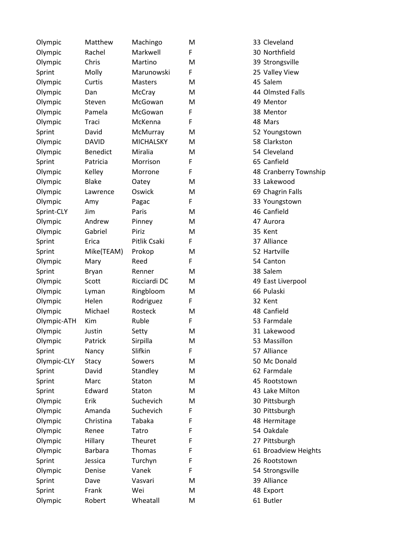| Olympic     | Matthew         | Machingo         | M |
|-------------|-----------------|------------------|---|
| Olympic     | Rachel          | Markwell         | F |
| Olympic     | Chris           | Martino          | M |
| Sprint      | Molly           | Marunowski       | F |
| Olympic     | Curtis          | Masters          | M |
| Olympic     | Dan             | McCray           | M |
| Olympic     | Steven          | McGowan          | M |
| Olympic     | Pamela          | McGowan          | F |
| Olympic     | Traci           | McKenna          | F |
| Sprint      | David           | McMurray         | M |
| Olympic     | <b>DAVID</b>    | <b>MICHALSKY</b> | M |
| Olympic     | <b>Benedict</b> | Miralia          | M |
| Sprint      | Patricia        | Morrison         | F |
| Olympic     | Kelley          | Morrone          | F |
| Olympic     | <b>Blake</b>    | Oatey            | M |
| Olympic     | Lawrence        | Oswick           | M |
| Olympic     | Amy             | Pagac            | F |
| Sprint-CLY  | Jim             | Paris            | M |
| Olympic     | Andrew          | Pinney           | M |
| Olympic     | Gabriel         | Piriz            | M |
| Sprint      | Erica           | Pitlik Csaki     | F |
| Sprint      | Mike(TEAM)      | Prokop           | M |
| Olympic     | Mary            | Reed             | F |
| Sprint      | Bryan           | Renner           | M |
| Olympic     | Scott           | Ricciardi DC     | M |
| Olympic     | Lyman           | Ringbloom        | M |
| Olympic     | Helen           | Rodriguez        | F |
| Olympic     | Michael         | Rosteck          | M |
| Olympic-ATH | Kim             | Ruble            | F |
| Olympic     | Justin          | Setty            | M |
| Olympic     | Patrick         | Sirpilla         | M |
| Sprint      | Nancy           | Slifkin          | F |
| Olympic-CLY | Stacy           | Sowers           | M |
| Sprint      | David           | Standley         | M |
| Sprint      | Marc            | Staton           | M |
| Sprint      | Edward          | Staton           | M |
| Olympic     | Erik            | Suchevich        | M |
| Olympic     | Amanda          | Suchevich        | F |
| Olympic     | Christina       | Tabaka           | F |
| Olympic     | Renee           | Tatro            | F |
| Olympic     | Hillary         | <b>Theuret</b>   | F |
| Olympic     | <b>Barbara</b>  | Thomas           | F |
| Sprint      | Jessica         | Turchyn          | F |
| Olympic     | Denise          | Vanek            | F |
| Sprint      | Dave            | Vasvari          | M |
| Sprint      | Frank           | Wei              | M |
| Olympic     | Robert          | Wheatall         | M |

| M | 33 Cleveland          |
|---|-----------------------|
| F | 30 Northfield         |
| M | 39 Strongsville       |
| F | 25 Valley View        |
| M | 45 Salem              |
| M | 44 Olmsted Falls      |
| M | 49 Mentor             |
| F | 38 Mentor             |
| F | 48 Mars               |
| M | 52 Youngstown         |
| M | 58 Clarkston          |
| M | 54 Cleveland          |
| F | 65 Canfield           |
| F | 48 Cranberry Township |
| M | 33 Lakewood           |
| M | 69 Chagrin Falls      |
| F | 33 Youngstown         |
| M | 46 Canfield           |
| M | 47 Aurora             |
| M | 35 Kent               |
| F | 37 Alliance           |
| M | 52 Hartville          |
| F | 54 Canton             |
| M | 38 Salem              |
| M | 49 East Liverpool     |
| M | 66 Pulaski            |
| F | 32 Kent               |
| M | 48 Canfield           |
| F | 53 Farmdale           |
| M | 31 Lakewood           |
| M | 53 Massillon          |
| F | 57 Alliance           |
| M | 50 Mc Donald          |
| M | 62 Farmdale           |
| M | 45 Rootstown          |
| M | 43 Lake Milton        |
| M | 30 Pittsburgh         |
| F | 30 Pittsburgh         |
| F | 48 Hermitage          |
| F | 54 Oakdale            |
| F | 27 Pittsburgh         |
| F | 61 Broadview Heights  |
| F | 26 Rootstown          |
| F | 54 Strongsville       |
| M | 39 Alliance           |
| M | 48 Export             |
| M | 61 Butler             |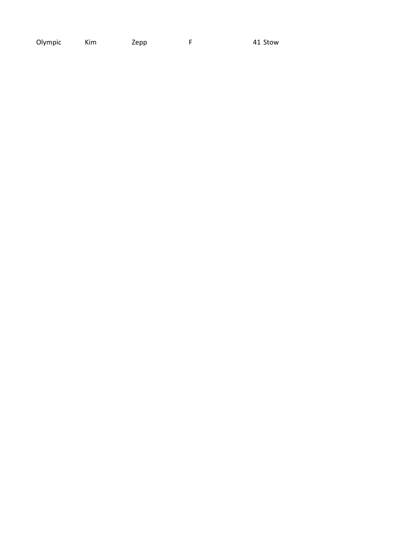Olympic Kim Zepp  $\mathsf F$ 41 Stow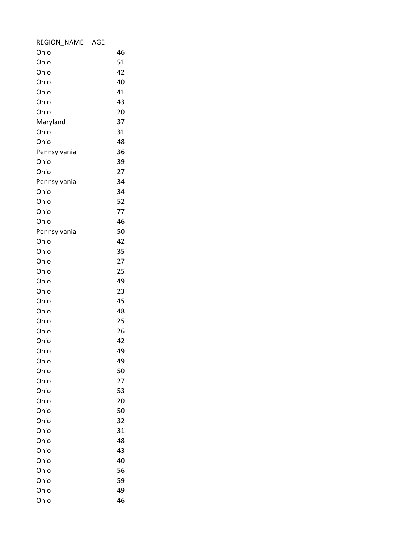| <b>REGION NAME</b> | AGE |    |  |
|--------------------|-----|----|--|
| Ohio               |     | 46 |  |
| Ohio               |     | 51 |  |
| Ohio               |     | 42 |  |
| Ohio               |     | 40 |  |
| Ohio               |     | 41 |  |
| Ohio               |     | 43 |  |
| Ohio               |     | 20 |  |
| Maryland           |     | 37 |  |
| Ohio               |     | 31 |  |
| Ohio               |     | 48 |  |
| Pennsylvania       |     | 36 |  |
| Ohio               |     | 39 |  |
| Ohio               |     | 27 |  |
| Pennsylvania       |     | 34 |  |
| Ohio               |     | 34 |  |
| Ohio               |     | 52 |  |
| Ohio               |     | 77 |  |
| Ohio               |     | 46 |  |
| Pennsylvania       |     | 50 |  |
| Ohio               |     | 42 |  |
| Ohio               |     | 35 |  |
| Ohio               |     | 27 |  |
| Ohio               |     | 25 |  |
| Ohio               |     | 49 |  |
| Ohio               |     | 23 |  |
| Ohio               |     | 45 |  |
| Ohio               |     | 48 |  |
| Ohio               |     | 25 |  |
| Ohio               |     | 26 |  |
| Ohio               |     | 42 |  |
| Ohio               |     | 49 |  |
| Ohio               |     | 49 |  |
| Ohio               |     | 50 |  |
| Ohio               |     | 27 |  |
| Ohio               |     | 53 |  |
| Ohio               |     | 20 |  |
| Ohio               |     | 50 |  |
| Ohio               |     | 32 |  |
| Ohio               |     | 31 |  |
| Ohio               |     | 48 |  |
| Ohio               |     | 43 |  |
| Ohio               |     | 40 |  |
| Ohio               |     | 56 |  |
| Ohio               |     | 59 |  |
| Ohio               |     | 49 |  |
| Ohio               |     | 46 |  |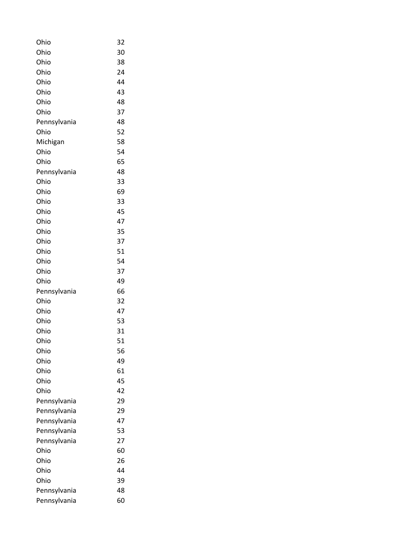| Ohio         | 32 |
|--------------|----|
| Ohio         | 30 |
| Ohio         | 38 |
| Ohio         | 24 |
| Ohio         | 44 |
| Ohio         | 43 |
| Ohio         | 48 |
| Ohio         | 37 |
| Pennsylvania | 48 |
| Ohio         | 52 |
| Michigan     | 58 |
| Ohio         | 54 |
| Ohio         | 65 |
| Pennsylvania | 48 |
| Ohio         | 33 |
| Ohio         | 69 |
| Ohio         | 33 |
| Ohio         | 45 |
| Ohio         | 47 |
| Ohio         | 35 |
| Ohio         | 37 |
| Ohio         | 51 |
| Ohio         | 54 |
| Ohio         | 37 |
| Ohio         | 49 |
| Pennsylvania | 66 |
| Ohio         | 32 |
| Ohio         | 47 |
| Ohio         | 53 |
| Ohio         | 31 |
| Ohio         | 51 |
| Ohio         | 56 |
| Ohio         | 49 |
| Ohio         | 61 |
| Ohio         | 45 |
| Ohio         | 42 |
| Pennsylvania | 29 |
| Pennsylvania | 29 |
| Pennsylvania | 47 |
| Pennsylvania | 53 |
| Pennsylvania | 27 |
| Ohio         | 60 |
| Ohio         | 26 |
| Ohio         | 44 |
| Ohio         | 39 |
| Pennsylvania | 48 |
| Pennsylvania | 60 |